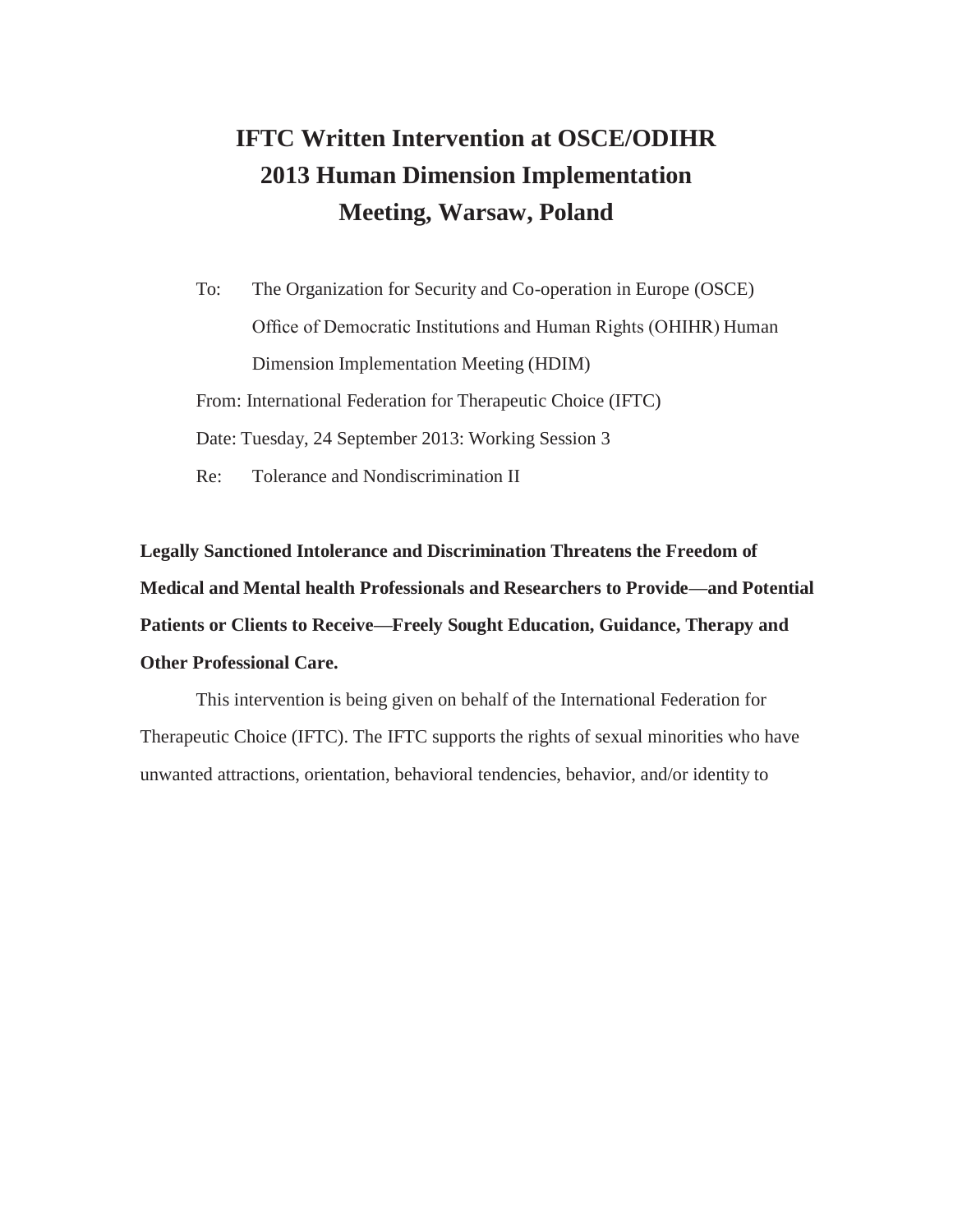# **IFTC Written Intervention at OSCE/ODIHR 2013 Human Dimension Implementation Meeting, Warsaw, Poland**

To: The Organization for Security and Co-operation in Europe (OSCE) Office of Democratic Institutions and Human Rights (OHIHR) Human Dimension Implementation Meeting (HDIM) From: International Federation for Therapeutic Choice (IFTC) Date: Tuesday, 24 September 2013: Working Session 3 Re: Tolerance and Nondiscrimination II

**Legally Sanctioned Intolerance and Discrimination Threatens the Freedom of Medical and Mental health Professionals and Researchers to Provide—and Potential Patients or Clients to Receive—Freely Sought Education, Guidance, Therapy and Other Professional Care.**

This intervention is being given on behalf of the International Federation for Therapeutic Choice (IFTC). The IFTC supports the rights of sexual minorities who have unwanted attractions, orientation, behavioral tendencies, behavior, and/or identity to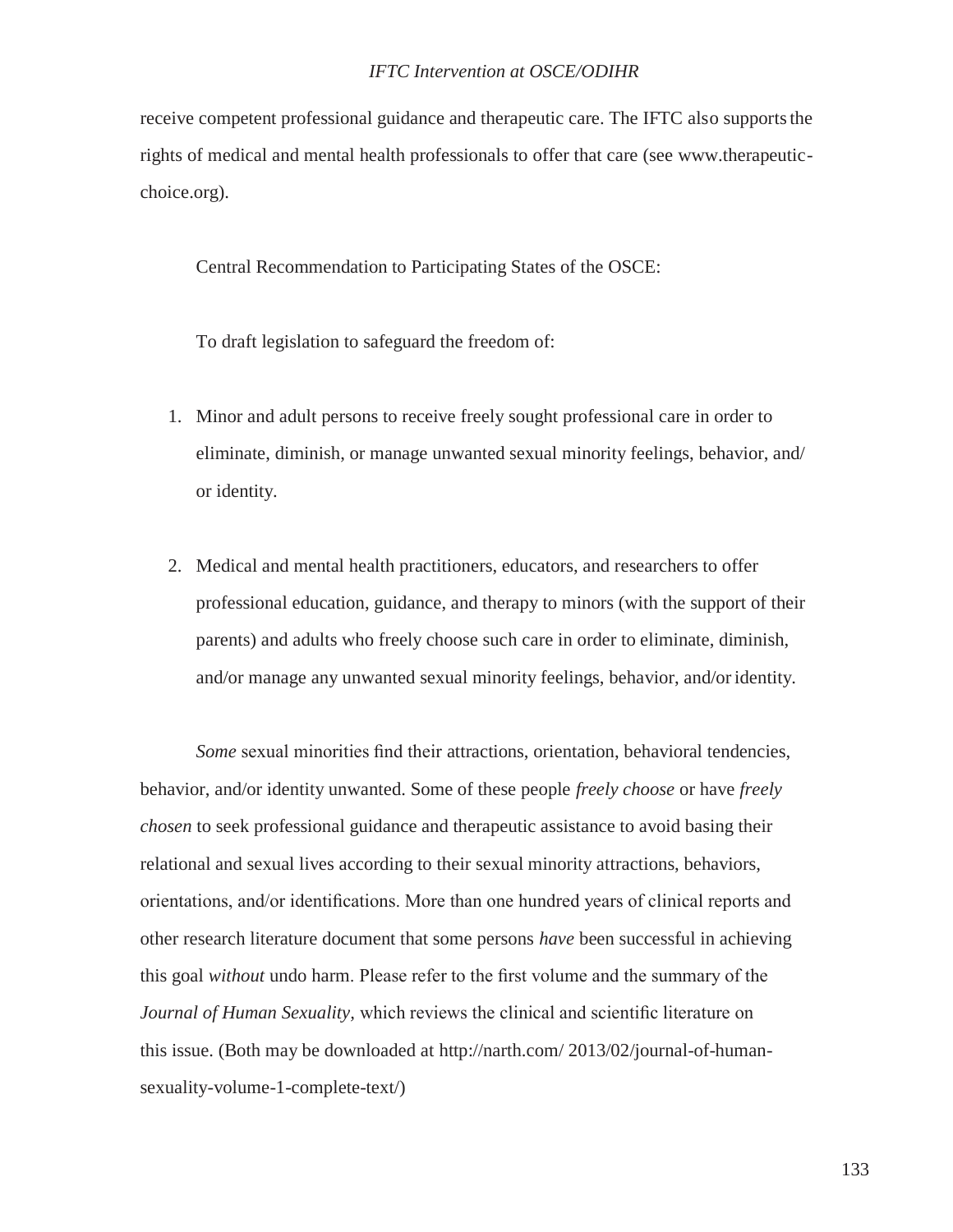receive competent professional guidance and therapeutic care. The IFTC also supportsthe rights of medical and mental health professionals to offer that care (see www.therapeuticchoice.org).

Central Recommendation to Participating States of the OSCE:

To draft legislation to safeguard the freedom of:

- 1. Minor and adult persons to receive freely sought professional care in order to eliminate, diminish, or manage unwanted sexual minority feelings, behavior, and/ or identity.
- 2. Medical and mental health practitioners, educators, and researchers to offer professional education, guidance, and therapy to minors (with the support of their parents) and adults who freely choose such care in order to eliminate, diminish, and/or manage any unwanted sexual minority feelings, behavior, and/or identity.

*Some* sexual minorities find their attractions, orientation, behavioral tendencies, behavior, and/or identity unwanted. Some of these people *freely choose* or have *freely chosen* to seek professional guidance and therapeutic assistance to avoid basing their relational and sexual lives according to their sexual minority attractions, behaviors, orientations, and/or identifications. More than one hundred years of clinical reports and other research literature document that some persons *have* been successful in achieving this goal *without* undo harm. Please refer to the first volume and the summary of the *Journal of Human Sexuality,* which reviews the clinical and scientific literature on this issue. (Both may be downloaded at<http://narth.com/> 2013/02/journal-of-humansexuality-volume-1-complete-text/)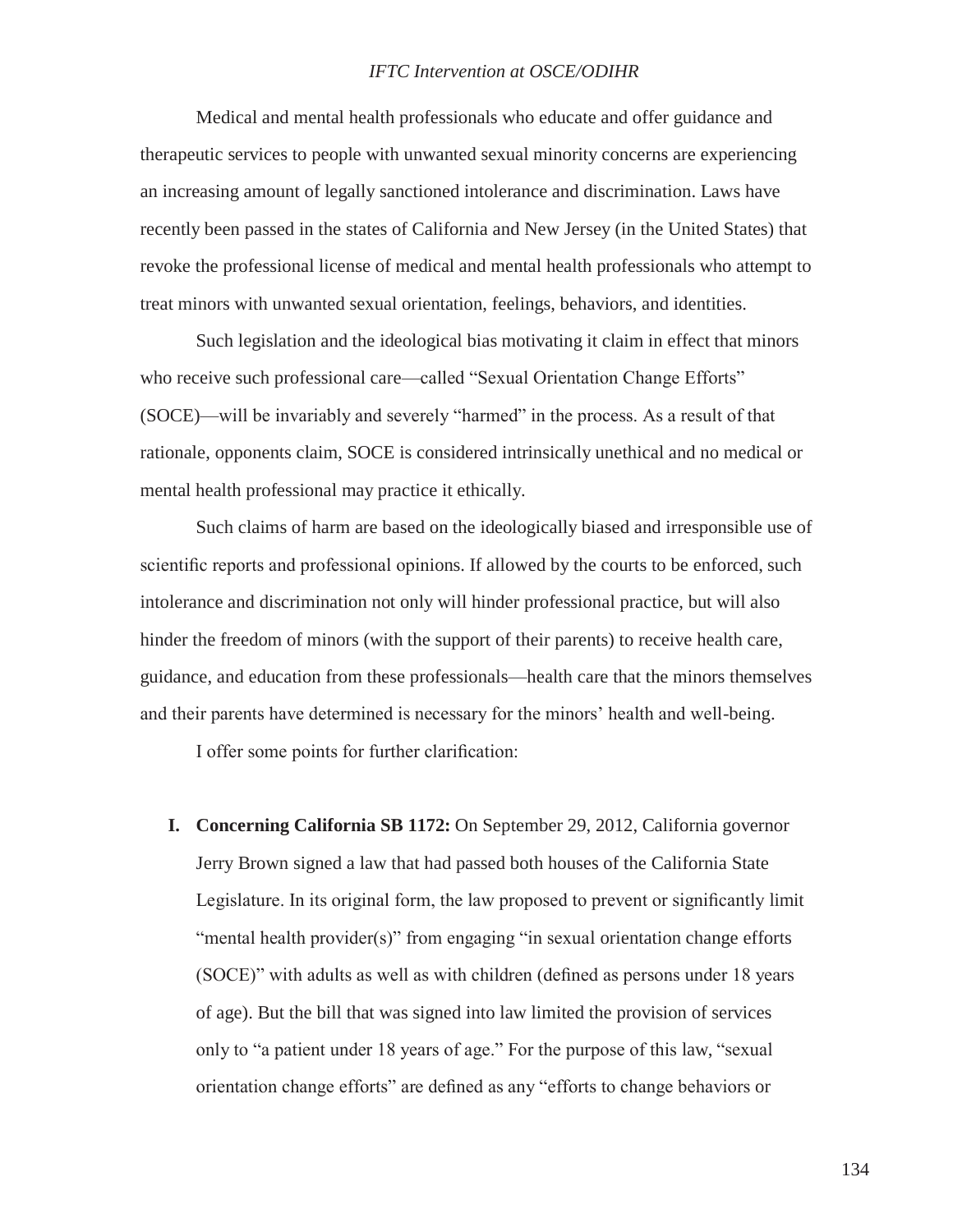Medical and mental health professionals who educate and offer guidance and therapeutic services to people with unwanted sexual minority concerns are experiencing an increasing amount of legally sanctioned intolerance and discrimination. Laws have recently been passed in the states of California and New Jersey (in the United States) that revoke the professional license of medical and mental health professionals who attempt to treat minors with unwanted sexual orientation, feelings, behaviors, and identities.

Such legislation and the ideological bias motivating it claim in effect that minors who receive such professional care—called "Sexual Orientation Change Efforts" (SOCE)—will be invariably and severely "harmed" in the process. As a result of that rationale, opponents claim, SOCE is considered intrinsically unethical and no medical or mental health professional may practice it ethically.

Such claims of harm are based on the ideologically biased and irresponsible use of scientific reports and professional opinions. If allowed by the courts to be enforced, such intolerance and discrimination not only will hinder professional practice, but will also hinder the freedom of minors (with the support of their parents) to receive health care, guidance, and education from these professionals—health care that the minors themselves and their parents have determined is necessary for the minors' health and well-being.

I offer some points for further clarification:

**I. Concerning California SB 1172:** On September 29, 2012, California governor Jerry Brown signed a law that had passed both houses of the California State Legislature. In its original form, the law proposed to prevent or significantly limit "mental health provider(s)" from engaging "in sexual orientation change efforts (SOCE)" with adults as well as with children (defined as persons under 18 years of age). But the bill that was signed into law limited the provision of services only to "a patient under 18 years of age." For the purpose of this law, "sexual orientation change efforts" are defined as any "efforts to change behaviors or

134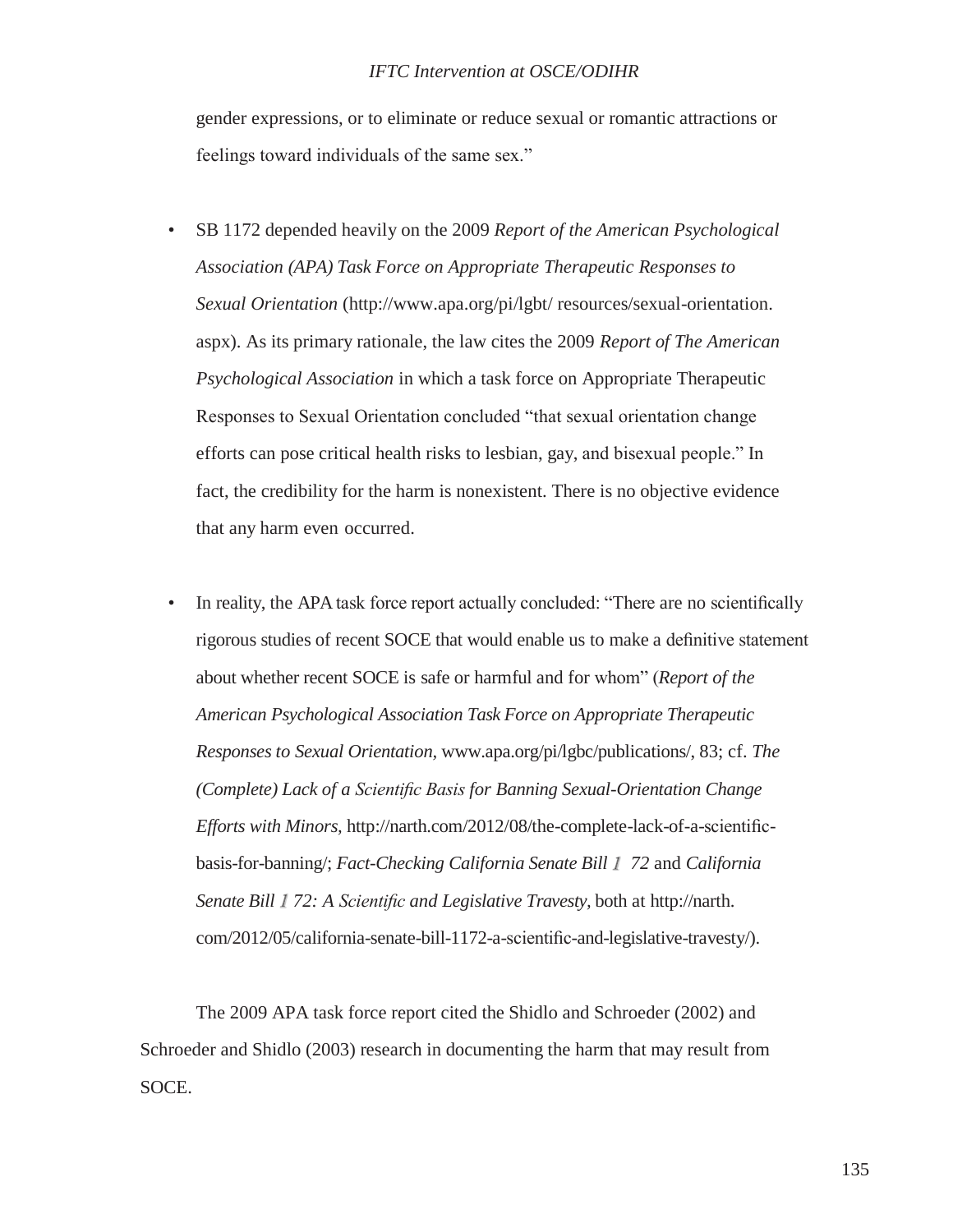gender expressions, or to eliminate or reduce sexual or romantic attractions or feelings toward individuals of the same sex."

- SB 1172 depended heavily on the 2009 *Report of the American Psychological Association (APA) Task Force on Appropriate Therapeutic Responses to Sexual Orientation* [\(http://www.apa.org/pi/lgbt/ r](http://www.apa.org/pi/lgbt/)esources/sexual-orientation. aspx). As its primary rationale, the law cites the 2009 *Report of The American Psychological Association* in which a task force on Appropriate Therapeutic Responses to Sexual Orientation concluded "that sexual orientation change efforts can pose critical health risks to lesbian, gay, and bisexual people." In fact, the credibility for the harm is nonexistent. There is no objective evidence that any harm even occurred.
- In reality, the APA task force report actually concluded: "There are no scientifically rigorous studies of recent SOCE that would enable us to make a definitive statement about whether recent SOCE is safe or harmful and for whom" (*Report of the American Psychological Association Task Force on Appropriate Therapeutic Responses to Sexual Orientation,* [www.apa.org/pi/lgbc/publications/, 8](http://www.apa.org/pi/lgbc/publications/)3; cf. *The (Complete) Lack of a Scientific Basis for Banning Sexual-Orientation Change Efforts with Minors,* [http://narth.com/2012/08/the-complete-lack-of-a-scientific](http://narth.com/2012/08/the-complete-lack-of-a-scientiﬁc-)basis-for-banning/; *Fact-Checking California Senate Bill 72* and *California Senate Bill 72: A Scientific and Legislative Travesty,* both at [http://narth.](http://narth/) com/2012/05/california-senate-bill-1172-a-scientific-and-legislative-travesty/).

The 2009 APA task force report cited the Shidlo and Schroeder (2002) and Schroeder and Shidlo (2003) research in documenting the harm that may result from SOCE.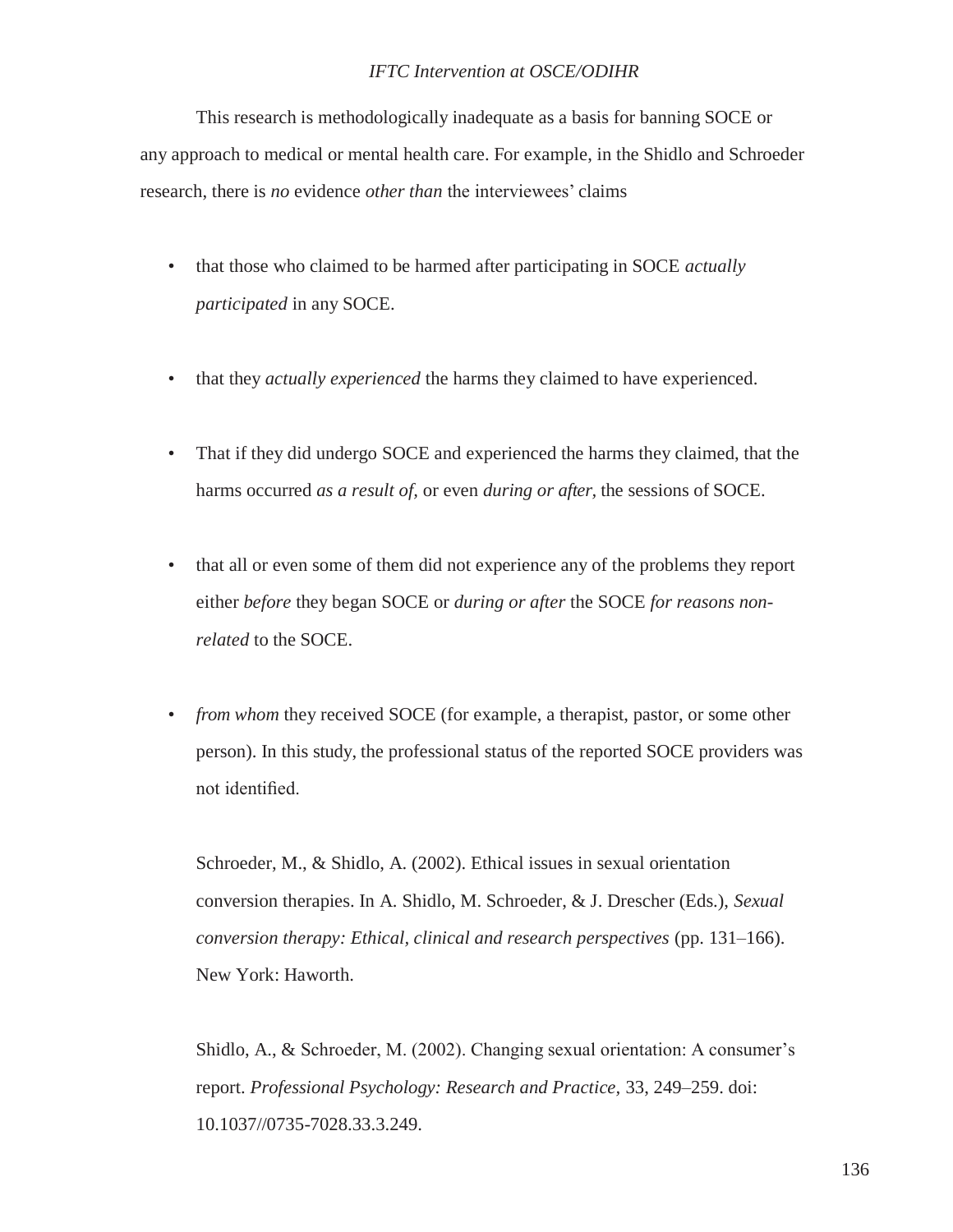This research is methodologically inadequate as a basis for banning SOCE or any approach to medical or mental health care. For example, in the Shidlo and Schroeder research, there is *no* evidence *other than* the interviewees' claims

- that those who claimed to be harmed after participating in SOCE *actually participated* in any SOCE.
- that they *actually experienced* the harms they claimed to have experienced.
- That if they did undergo SOCE and experienced the harms they claimed, that the harms occurred *as a result of,* or even *during or after,* the sessions of SOCE.
- that all or even some of them did not experience any of the problems they report either *before* they began SOCE or *during or after* the SOCE *for reasons nonrelated* to the SOCE.
- *from whom* they received SOCE (for example, a therapist, pastor, or some other person). In this study, the professional status of the reported SOCE providers was not identified.

Schroeder, M., & Shidlo, A. (2002). Ethical issues in sexual orientation conversion therapies. In A. Shidlo, M. Schroeder, & J. Drescher (Eds.), *Sexual conversion therapy: Ethical, clinical and research perspectives* (pp. 131–166). New York: Haworth.

Shidlo, A., & Schroeder, M. (2002). Changing sexual orientation: A consumer's report. *Professional Psychology: Research and Practice,* 33, 249–259. doi: 10.1037//0735-7028.33.3.249.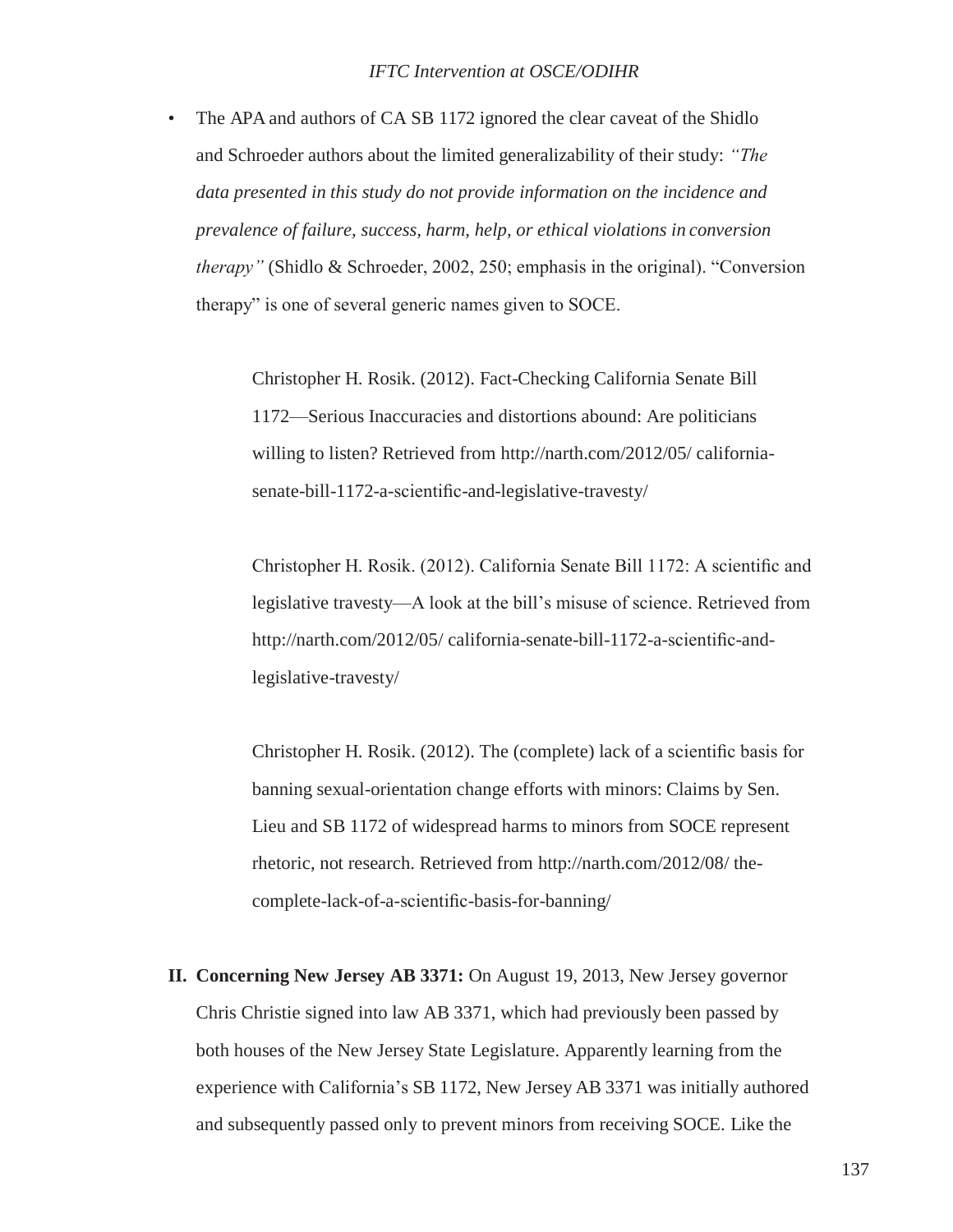• The APA and authors of CA SB 1172 ignored the clear caveat of the Shidlo and Schroeder authors about the limited generalizability of their study: *"The data presented in this study do not provide information on the incidence and prevalence of failure, success, harm, help, or ethical violations in conversion therapy"* (Shidlo & Schroeder, 2002, 250; emphasis in the original). "Conversion therapy" is one of several generic names given to SOCE.

> Christopher H. Rosik. (2012). Fact-Checking California Senate Bill 1172—Serious Inaccuracies and distortions abound: Are politicians willing to listen? Retrieved from<http://narth.com/2012/05/> californiasenate-bill-1172-a-scientific-and-legislative-travesty/

Christopher H. Rosik. (2012). California Senate Bill 1172: A scientific and legislative travesty—A look at the bill's misuse of science. Retrieved from <http://narth.com/2012/05/> california-senate-bill-1172-a-scientific-andlegislative-travesty/

Christopher H. Rosik. (2012). The (complete) lack of a scientific basis for banning sexual-orientation change efforts with minors: Claims by Sen. Lieu and SB 1172 of widespread harms to minors from SOCE represent rhetoric, not research. Retrieved from<http://narth.com/2012/08/> thecomplete-lack-of-a-scientific-basis-for-banning/

**II. Concerning New Jersey AB 3371:** On August 19, 2013, New Jersey governor Chris Christie signed into law AB 3371, which had previously been passed by both houses of the New Jersey State Legislature. Apparently learning from the experience with California's SB 1172, New Jersey AB 3371 was initially authored and subsequently passed only to prevent minors from receiving SOCE. Like the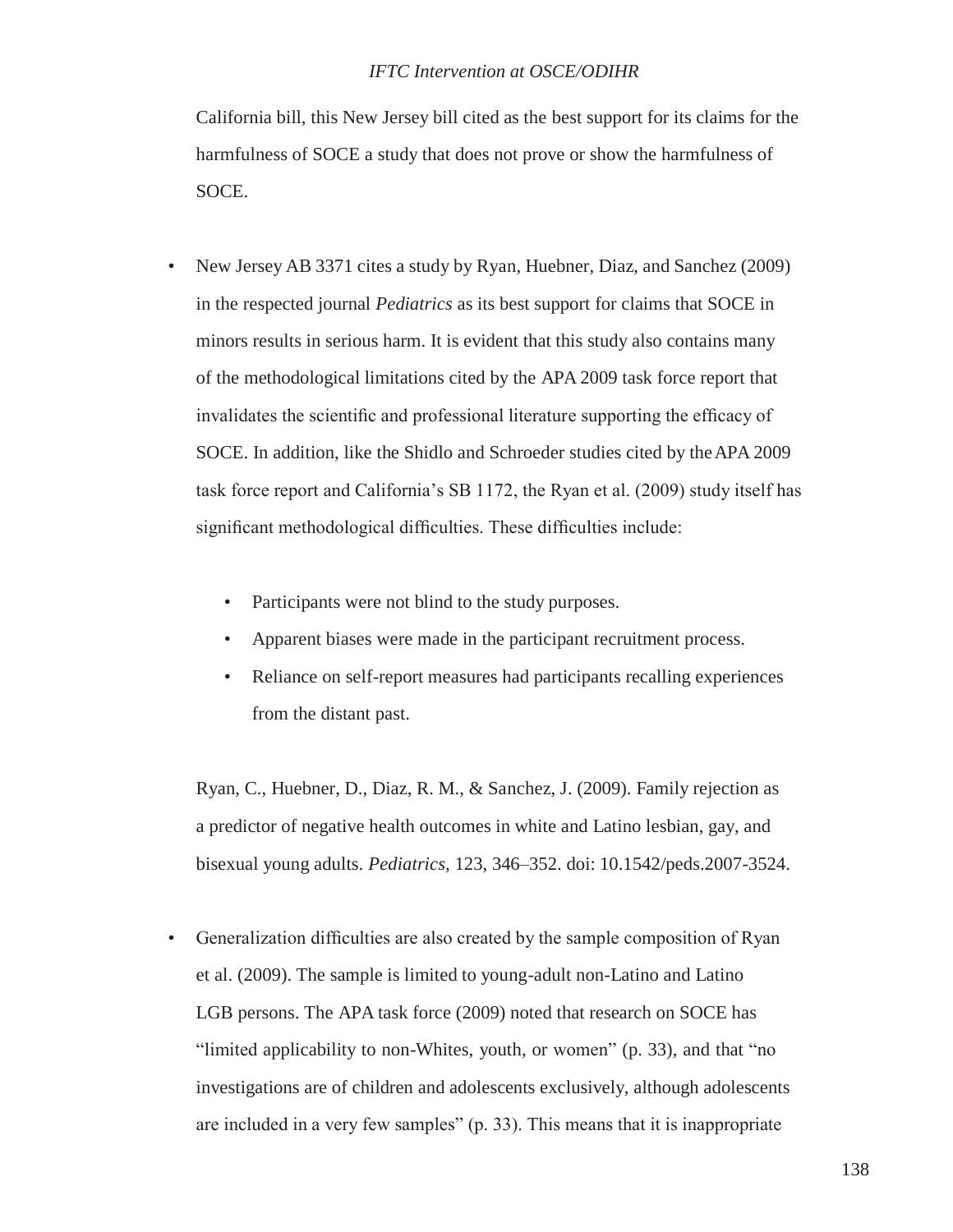California bill, this New Jersey bill cited as the best support for its claims for the harmfulness of SOCE a study that does not prove or show the harmfulness of SOCE.

- New Jersey AB 3371 cites a study by Ryan, Huebner, Diaz, and Sanchez (2009) in the respected journal *Pediatrics* as its best support for claims that SOCE in minors results in serious harm. It is evident that this study also contains many of the methodological limitations cited by the APA 2009 task force report that invalidates the scientific and professional literature supporting the efficacy of SOCE. In addition, like the Shidlo and Schroeder studies cited by theAPA 2009 task force report and California's SB 1172, the Ryan et al. (2009) study itself has significant methodological difficulties. These difficulties include:
	- Participants were not blind to the study purposes.
	- Apparent biases were made in the participant recruitment process.
	- Reliance on self-report measures had participants recalling experiences from the distant past.

Ryan, C., Huebner, D., Diaz, R. M., & Sanchez, J. (2009). Family rejection as a predictor of negative health outcomes in white and Latino lesbian, gay, and bisexual young adults. *Pediatrics,* 123, 346–352. doi: 10.1542/peds.2007-3524.

• Generalization difficulties are also created by the sample composition of Ryan et al. (2009). The sample is limited to young-adult non-Latino and Latino LGB persons. The APA task force (2009) noted that research on SOCE has "limited applicability to non-Whites, youth, or women" (p. 33), and that "no investigations are of children and adolescents exclusively, although adolescents are included in a very few samples" (p. 33). This means that it is inappropriate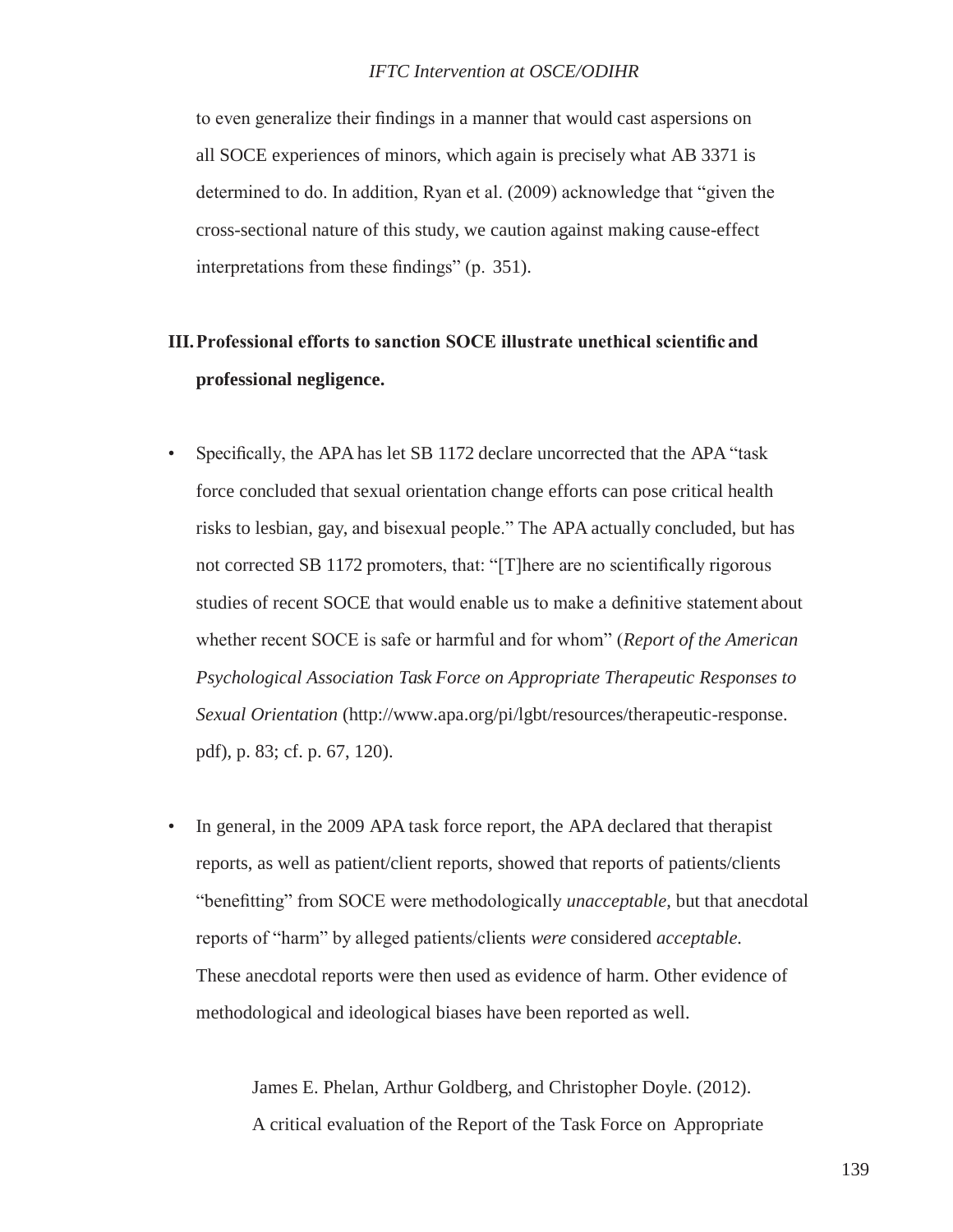to even generalize their findings in a manner that would cast aspersions on all SOCE experiences of minors, which again is precisely what AB 3371 is determined to do. In addition, Ryan et al. (2009) acknowledge that "given the cross-sectional nature of this study, we caution against making cause-effect interpretations from these findings" (p. 351).

# **III.Professional efforts to sanction SOCE illustrate unethical scientific and professional negligence.**

- Specifically, the APA has let SB 1172 declare uncorrected that the APA "task force concluded that sexual orientation change efforts can pose critical health risks to lesbian, gay, and bisexual people." The APA actually concluded, but has not corrected SB 1172 promoters, that: "[T]here are no scientifically rigorous studies of recent SOCE that would enable us to make a definitive statement about whether recent SOCE is safe or harmful and for whom" (*Report of the American Psychological Association Task Force on Appropriate Therapeutic Responses to Sexual Orientation* [\(http://www.apa.org/pi/lgbt/resources/therapeutic-response.](http://www.apa.org/pi/lgbt/resources/therapeutic-response) pdf), p. 83; cf. p. 67, 120).
- In general, in the 2009 APA task force report, the APA declared that therapist reports, as well as patient/client reports, showed that reports of patients/clients "benefitting" from SOCE were methodologically *unacceptable,* but that anecdotal reports of "harm" by alleged patients/clients *were* considered *acceptable.* These anecdotal reports were then used as evidence of harm. Other evidence of methodological and ideological biases have been reported as well.

James E. Phelan, Arthur Goldberg, and Christopher Doyle. (2012). A critical evaluation of the Report of the Task Force on Appropriate

139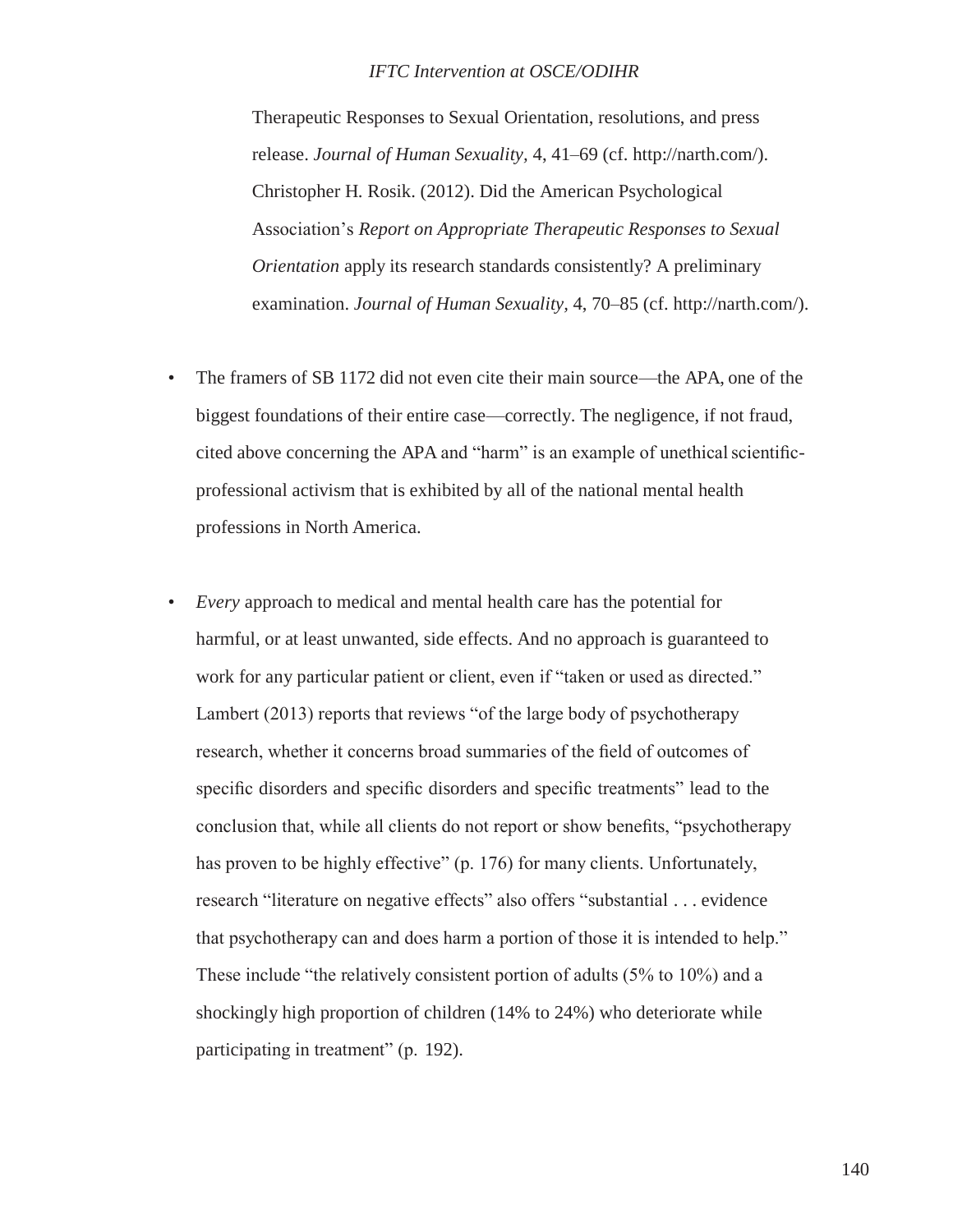Therapeutic Responses to Sexual Orientation, resolutions, and press release. *Journal of Human Sexuality,* 4, 41–69 (cf. [http://narth.com/\).](http://narth.com/)) Christopher H. Rosik. (2012). Did the American Psychological Association's *Report on Appropriate Therapeutic Responses to Sexual Orientation* apply its research standards consistently? A preliminary examination. *Journal of Human Sexuality,* 4, 70–85 (cf. [http://narth.com/\).](http://narth.com/))

- The framers of SB 1172 did not even cite their main source—the APA, one of the biggest foundations of their entire case—correctly. The negligence, if not fraud, cited above concerning the APA and "harm" is an example of unethical scientificprofessional activism that is exhibited by all of the national mental health professions in North America.
- *Every* approach to medical and mental health care has the potential for harmful, or at least unwanted, side effects. And no approach is guaranteed to work for any particular patient or client, even if "taken or used as directed." Lambert (2013) reports that reviews "of the large body of psychotherapy research, whether it concerns broad summaries of the field of outcomes of specific disorders and specific disorders and specific treatments" lead to the conclusion that, while all clients do not report or show benefits, "psychotherapy has proven to be highly effective" (p. 176) for many clients. Unfortunately, research "literature on negative effects" also offers "substantial . . . evidence that psychotherapy can and does harm a portion of those it is intended to help." These include "the relatively consistent portion of adults (5% to 10%) and a shockingly high proportion of children (14% to 24%) who deteriorate while participating in treatment" (p. 192).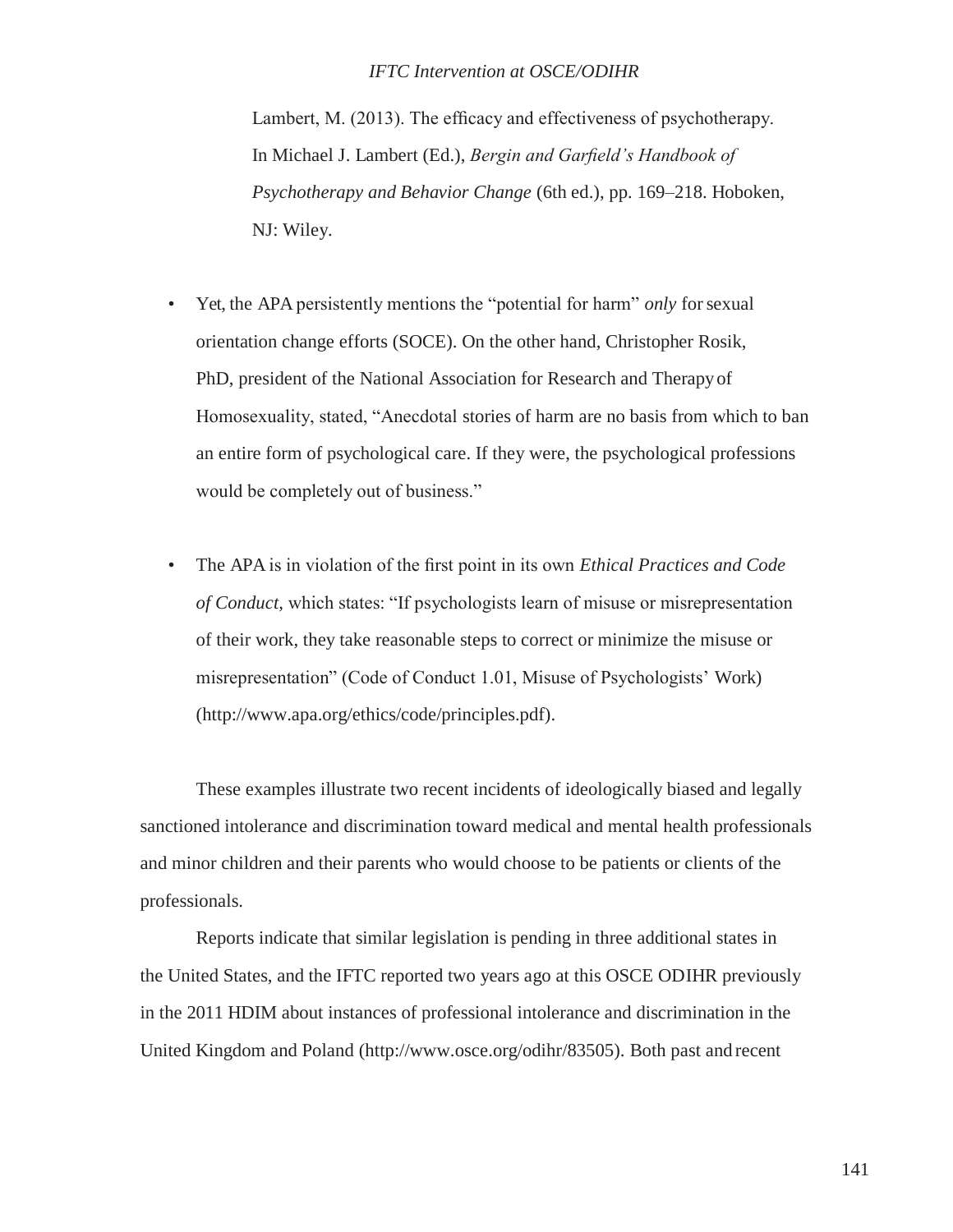Lambert, M. (2013). The efficacy and effectiveness of psychotherapy. In Michael J. Lambert (Ed.), *Bergin and Garfield's Handbook of Psychotherapy and Behavior Change* (6th ed.), pp. 169–218. Hoboken, NJ: Wiley.

- Yet, the APA persistently mentions the "potential for harm" *only* for sexual orientation change efforts (SOCE). On the other hand, Christopher Rosik, PhD, president of the National Association for Research and Therapyof Homosexuality, stated, "Anecdotal stories of harm are no basis from which to ban an entire form of psychological care. If they were, the psychological professions would be completely out of business."
- The APA is in violation of the first point in its own *Ethical Practices and Code of Conduct,* which states: "If psychologists learn of misuse or misrepresentation of their work, they take reasonable steps to correct or minimize the misuse or misrepresentation" (Code of Conduct 1.01, Misuse of Psychologists' Work) [\(http://www.apa.org/ethics/code/principles.pdf\).](http://www.apa.org/ethics/code/principles.pdf))

These examples illustrate two recent incidents of ideologically biased and legally sanctioned intolerance and discrimination toward medical and mental health professionals and minor children and their parents who would choose to be patients or clients of the professionals.

Reports indicate that similar legislation is pending in three additional states in the United States, and the IFTC reported two years ago at this OSCE ODIHR previously in the 2011 HDIM about instances of professional intolerance and discrimination in the United Kingdom and Poland [\(http://www.osce.org/odihr/83505\).](http://www.osce.org/odihr/83505)) Both past and recent

141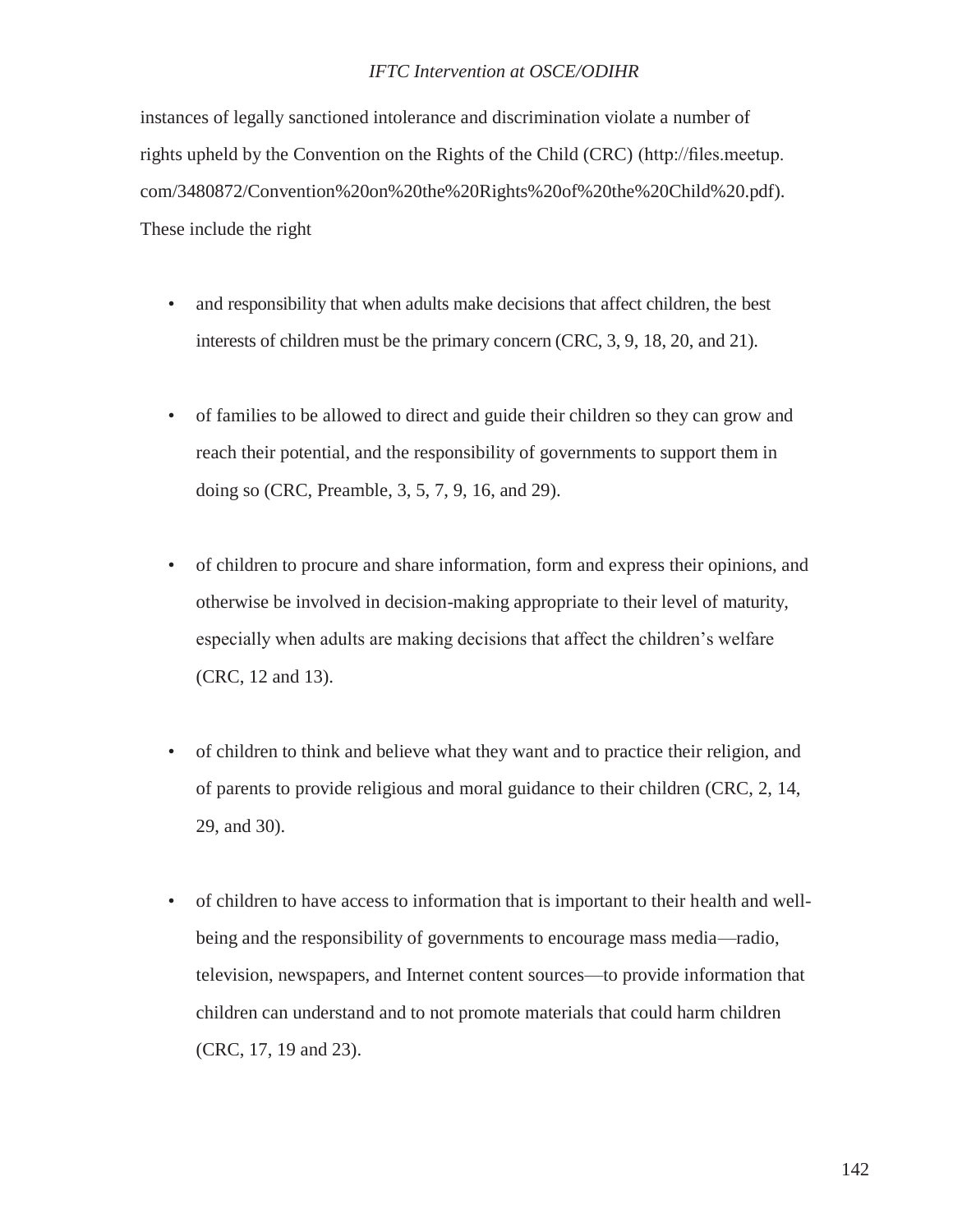instances of legally sanctioned intolerance and discrimination violate a number of rights upheld by the Convention on the Rights of the Child (CRC) [\(http://files.meetup.](http://files.meetup/) com/3480872/Convention%20on%20the%20Rights%20of%20the%20Child%20.pdf). These include the right

- and responsibility that when adults make decisions that affect children, the best interests of children must be the primary concern (CRC, 3, 9, 18, 20, and 21).
- of families to be allowed to direct and guide their children so they can grow and reach their potential, and the responsibility of governments to support them in doing so (CRC, Preamble, 3, 5, 7, 9, 16, and 29).
- of children to procure and share information, form and express their opinions, and otherwise be involved in decision-making appropriate to their level of maturity, especially when adults are making decisions that affect the children's welfare (CRC, 12 and 13).
- of children to think and believe what they want and to practice their religion, and of parents to provide religious and moral guidance to their children (CRC, 2, 14, 29, and 30).
- of children to have access to information that is important to their health and wellbeing and the responsibility of governments to encourage mass media—radio, television, newspapers, and Internet content sources—to provide information that children can understand and to not promote materials that could harm children (CRC, 17, 19 and 23).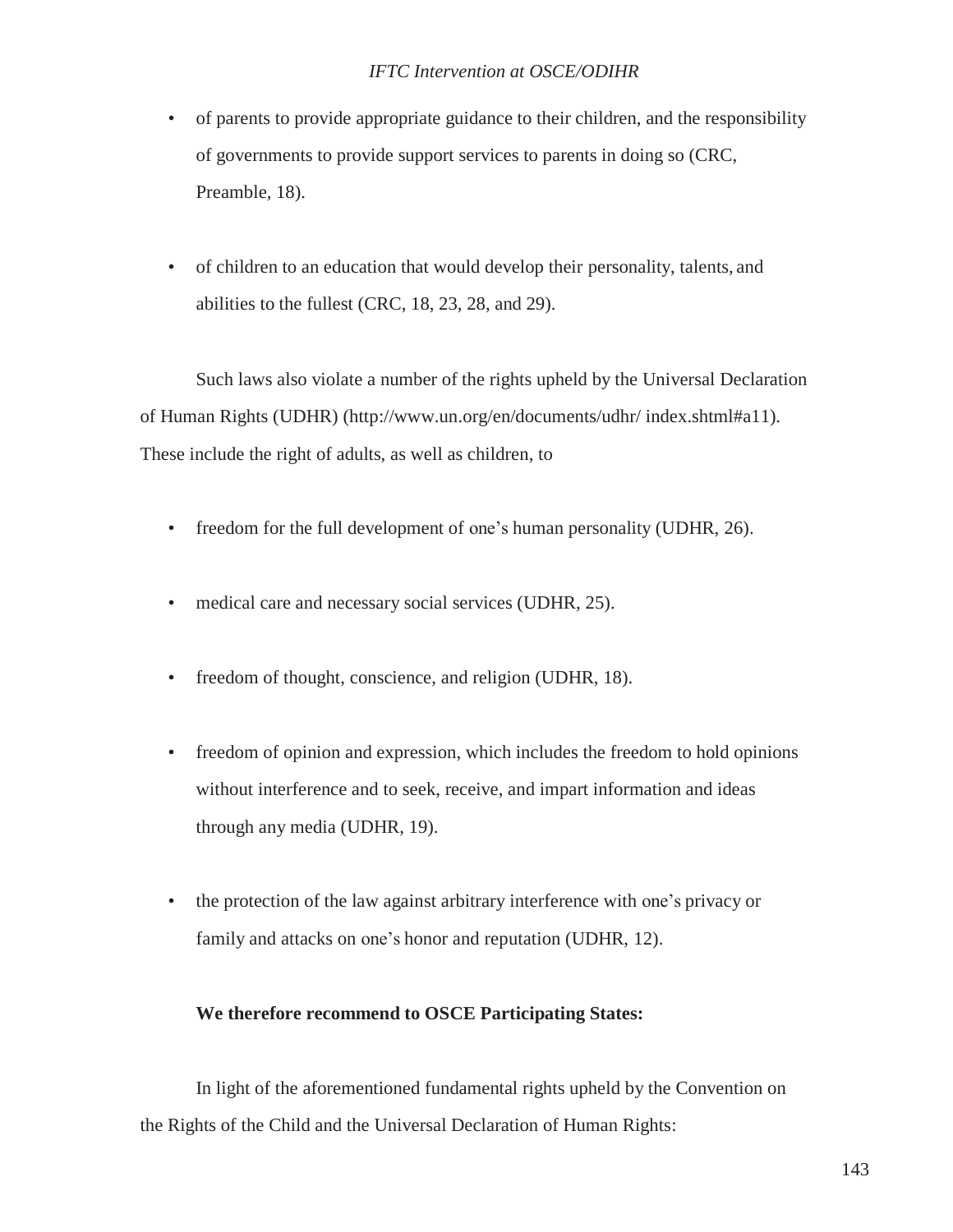- of parents to provide appropriate guidance to their children, and the responsibility of governments to provide support services to parents in doing so (CRC, Preamble, 18).
- of children to an education that would develop their personality, talents, and abilities to the fullest (CRC, 18, 23, 28, and 29).

Such laws also violate a number of the rights upheld by the Universal Declaration of Human Rights (UDHR) [\(http://www.un.org/en/documents/udhr/](http://www.un.org/en/documents/udhr/) index.shtml#a11). These include the right of adults, as well as children, to

- freedom for the full development of one's human personality (UDHR, 26).
- medical care and necessary social services (UDHR, 25).
- freedom of thought, conscience, and religion (UDHR, 18).
- freedom of opinion and expression, which includes the freedom to hold opinions without interference and to seek, receive, and impart information and ideas through any media (UDHR, 19).
- the protection of the law against arbitrary interference with one's privacy or family and attacks on one's honor and reputation (UDHR, 12).

### **We therefore recommend to OSCE Participating States:**

In light of the aforementioned fundamental rights upheld by the Convention on the Rights of the Child and the Universal Declaration of Human Rights: